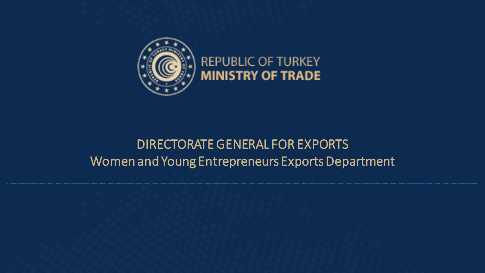

### **REPUBLIC OF TURKEY MINISTRY OF TRADE**

#### DIRECTORATE GENERAL FOR EXPORTS Women and Young Entrepreneurs Exports Department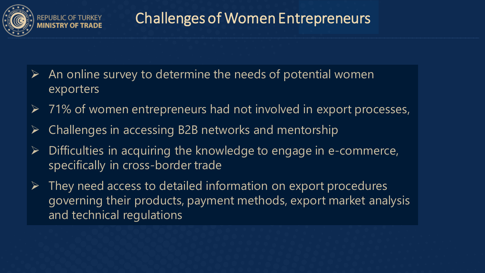

# Challenges of Women Entrepreneurs

- $\triangleright$  An online survey to determine the needs of potential women exporters
- $\triangleright$  71% of women entrepreneurs had not involved in export processes,
- Challenges in accessing B2B networks and mentorship
- $\triangleright$  Difficulties in acquiring the knowledge to engage in e-commerce, specifically in cross-border trade
- $\triangleright$  They need access to detailed information on export procedures governing their products, payment methods, export market analysis and technical regulations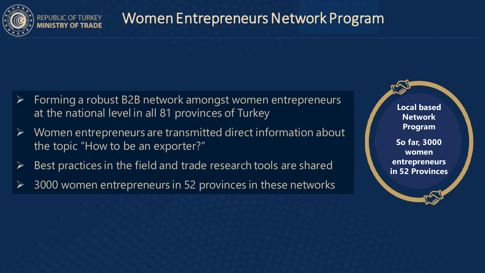

## Women Entrepreneurs Network Program

- Forming a robust B2B network amongst women entrepreneurs at the national level in all 81 provinces of Turkey
- Women entrepreneurs are transmitted direct information about the topic "How to be an exporter?"
- $\triangleright$  Best practices in the field and trade research tools are shared
- 3000 women entrepreneurs in 52 provinces in these networks

**Local based Network Program So far, 3000 women entrepreneurs in 52 Provinces**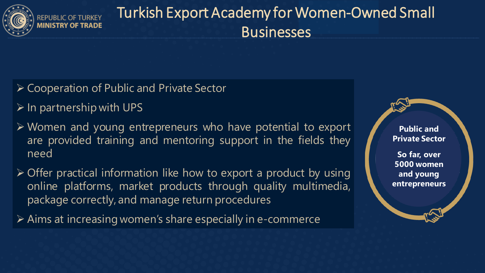

# Turkish Export Academy for Women-Owned Small **Businesses**

- Cooperation of Public and Private Sector
- $\triangleright$  In partnership with UPS

**INISTRY OF TRADE** 

- Women and young entrepreneurs who have potential to export are provided training and mentoring support in the fields they need
- $\triangleright$  Offer practical information like how to export a product by using online platforms, market products through quality multimedia, package correctly, and manage return procedures
- Aims at increasing women's share especially in e-commerce

**Public and Private Sector**

**So far, over 5000 women and young entrepreneurs**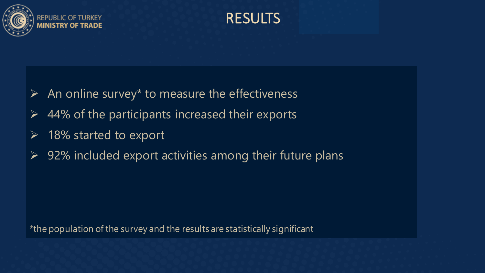

RESULTS

- $\triangleright$  An online survey\* to measure the effectiveness
- $\triangleright$  44% of the participants increased their exports
- 18% started to export
- 92% included export activities among their future plans

\*the population of the survey and the results are statistically significant